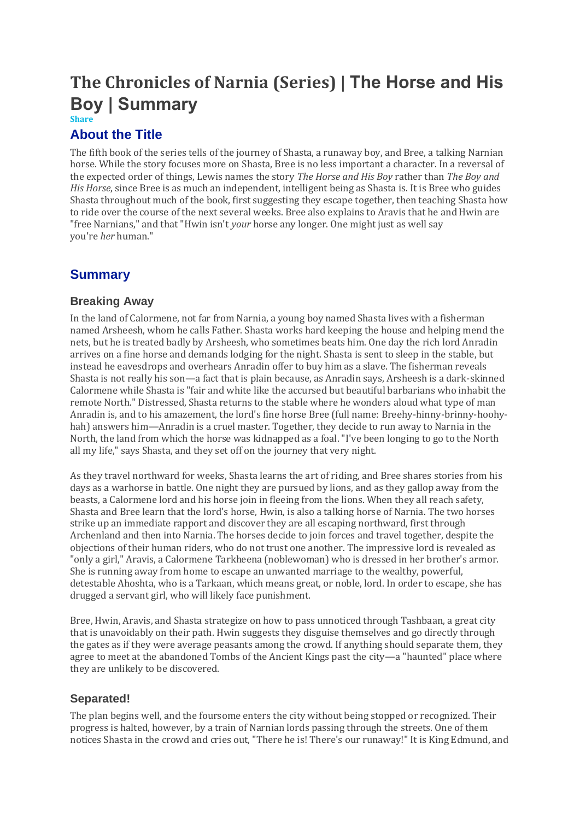# **The Chronicles of Narnia (Series) | The Horse and His Boy | Summary**

#### **Share**

## **About the Title**

The fifth book of the series tells of the journey of Shasta, a runaway boy, and Bree, a talking Narnian horse. While the story focuses more on Shasta, Bree is no less important a character. In a reversal of the expected order of things, Lewis names the story *The Horse and His Boy* rather than *The Boy and His Horse*, since Bree is as much an independent, intelligent being as Shasta is. It is Bree who guides Shasta throughout much of the book, first suggesting they escape together, then teaching Shasta how to ride over the course of the next several weeks. Bree also explains to Aravis that he and Hwin are "free Narnians," and that "Hwin isn't *your* horse any longer. One might just as well say you're *her* human."

# **Summary**

#### **Breaking Away**

In the land of Calormene, not far from Narnia, a young boy named Shasta lives with a fisherman named Arsheesh, whom he calls Father. Shasta works hard keeping the house and helping mend the nets, but he is treated badly by Arsheesh, who sometimes beats him. One day the rich lord Anradin arrives on a fine horse and demands lodging for the night. Shasta is sent to sleep in the stable, but instead he eavesdrops and overhears Anradin offer to buy him as a slave. The fisherman reveals Shasta is not really his son—a fact that is plain because, as Anradin says, Arsheesh is a dark-skinned Calormene while Shasta is "fair and white like the accursed but beautiful barbarians who inhabit the remote North." Distressed, Shasta returns to the stable where he wonders aloud what type of man Anradin is, and to his amazement, the lord's fine horse Bree (full name: Breehy-hinny-brinny-hoohyhah) answers him—Anradin is a cruel master. Together, they decide to run away to Narnia in the North, the land from which the horse was kidnapped as a foal. "I've been longing to go to the North all my life," says Shasta, and they set off on the journey that very night.

As they travel northward for weeks, Shasta learns the art of riding, and Bree shares stories from his days as a warhorse in battle. One night they are pursued by lions, and as they gallop away from the beasts, a Calormene lord and his horse join in fleeing from the lions. When they all reach safety, Shasta and Bree learn that the lord's horse, Hwin, is also a talking horse of Narnia. The two horses strike up an immediate rapport and discover they are all escaping northward, first through Archenland and then into Narnia. The horses decide to join forces and travel together, despite the objections of their human riders, who do not trust one another. The impressive lord is revealed as "only a girl," Aravis, a Calormene Tarkheena (noblewoman) who is dressed in her brother's armor. She is running away from home to escape an unwanted marriage to the wealthy, powerful, detestable Ahoshta, who is a Tarkaan, which means great, or noble, lord. In order to escape, she has drugged a servant girl, who will likely face punishment.

Bree, Hwin, Aravis, and Shasta strategize on how to pass unnoticed through Tashbaan, a great city that is unavoidably on their path. Hwin suggests they disguise themselves and go directly through the gates as if they were average peasants among the crowd. If anything should separate them, they agree to meet at the abandoned Tombs of the Ancient Kings past the city—a "haunted" place where they are unlikely to be discovered.

#### **Separated!**

The plan begins well, and the foursome enters the city without being stopped or recognized. Their progress is halted, however, by a train of Narnian lords passing through the streets. One of them notices Shasta in the crowd and cries out, "There he is! There's our runaway!" It is King Edmund, and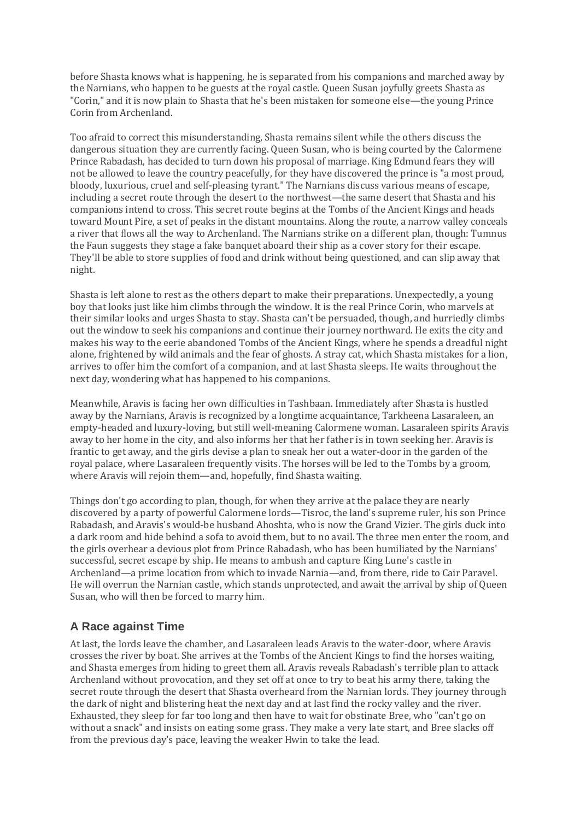before Shasta knows what is happening, he is separated from his companions and marched away by the Narnians, who happen to be guests at the royal castle. Queen Susan joyfully greets Shasta as "Corin," and it is now plain to Shasta that he's been mistaken for someone else—the young Prince Corin from Archenland.

Too afraid to correct this misunderstanding, Shasta remains silent while the others discuss the dangerous situation they are currently facing. Queen Susan, who is being courted by the Calormene Prince Rabadash, has decided to turn down his proposal of marriage. King Edmund fears they will not be allowed to leave the country peacefully, for they have discovered the prince is "a most proud, bloody, luxurious, cruel and self-pleasing tyrant." The Narnians discuss various means of escape, including a secret route through the desert to the northwest—the same desert that Shasta and his companions intend to cross. This secret route begins at the Tombs of the Ancient Kings and heads toward Mount Pire, a set of peaks in the distant mountains. Along the route, a narrow valley conceals a river that flows all the way to Archenland. The Narnians strike on a different plan, though: Tumnus the Faun suggests they stage a fake banquet aboard their ship as a cover story for their escape. They'll be able to store supplies of food and drink without being questioned, and can slip away that night.

Shasta is left alone to rest as the others depart to make their preparations. Unexpectedly, a young boy that looks just like him climbs through the window. It is the real Prince Corin, who marvels at their similar looks and urges Shasta to stay. Shasta can't be persuaded, though, and hurriedly climbs out the window to seek his companions and continue their journey northward. He exits the city and makes his way to the eerie abandoned Tombs of the Ancient Kings, where he spends a dreadful night alone, frightened by wild animals and the fear of ghosts. A stray cat, which Shasta mistakes for a lion, arrives to offer him the comfort of a companion, and at last Shasta sleeps. He waits throughout the next day, wondering what has happened to his companions.

Meanwhile, Aravis is facing her own difficulties in Tashbaan. Immediately after Shasta is hustled away by the Narnians, Aravis is recognized by a longtime acquaintance, Tarkheena Lasaraleen, an empty-headed and luxury-loving, but still well-meaning Calormene woman. Lasaraleen spirits Aravis away to her home in the city, and also informs her that her father is in town seeking her. Aravis is frantic to get away, and the girls devise a plan to sneak her out a water-door in the garden of the royal palace, where Lasaraleen frequently visits. The horses will be led to the Tombs by a groom, where Aravis will rejoin them—and, hopefully, find Shasta waiting.

Things don't go according to plan, though, for when they arrive at the palace they are nearly discovered by a party of powerful Calormene lords—Tisroc, the land's supreme ruler, his son Prince Rabadash, and Aravis's would-be husband Ahoshta, who is now the Grand Vizier. The girls duck into a dark room and hide behind a sofa to avoid them, but to no avail. The three men enter the room, and the girls overhear a devious plot from Prince Rabadash, who has been humiliated by the Narnians' successful, secret escape by ship. He means to ambush and capture King Lune's castle in Archenland—a prime location from which to invade Narnia—and, from there, ride to Cair Paravel. He will overrun the Narnian castle, which stands unprotected, and await the arrival by ship of Queen Susan, who will then be forced to marry him.

# **A Race against Time**

At last, the lords leave the chamber, and Lasaraleen leads Aravis to the water-door, where Aravis crosses the river by boat. She arrives at the Tombs of the Ancient Kings to find the horses waiting, and Shasta emerges from hiding to greet them all. Aravis reveals Rabadash's terrible plan to attack Archenland without provocation, and they set off at once to try to beat his army there, taking the secret route through the desert that Shasta overheard from the Narnian lords. They journey through the dark of night and blistering heat the next day and at last find the rocky valley and the river. Exhausted, they sleep for far too long and then have to wait for obstinate Bree, who "can't go on without a snack" and insists on eating some grass. They make a very late start, and Bree slacks off from the previous day's pace, leaving the weaker Hwin to take the lead.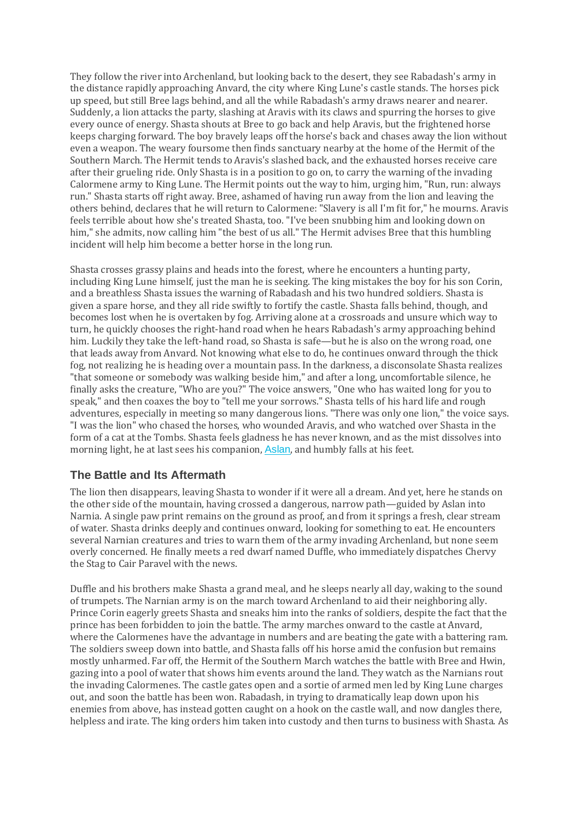They follow the river into Archenland, but looking back to the desert, they see Rabadash's army in the distance rapidly approaching Anvard, the city where King Lune's castle stands. The horses pick up speed, but still Bree lags behind, and all the while Rabadash's army draws nearer and nearer. Suddenly, a lion attacks the party, slashing at Aravis with its claws and spurring the horses to give every ounce of energy. Shasta shouts at Bree to go back and help Aravis, but the frightened horse keeps charging forward. The boy bravely leaps off the horse's back and chases away the lion without even a weapon. The weary foursome then finds sanctuary nearby at the home of the Hermit of the Southern March. The Hermit tends to Aravis's slashed back, and the exhausted horses receive care after their grueling ride. Only Shasta is in a position to go on, to carry the warning of the invading Calormene army to King Lune. The Hermit points out the way to him, urging him, "Run, run: always run." Shasta starts off right away. Bree, ashamed of having run away from the lion and leaving the others behind, declares that he will return to Calormene: "Slavery is all I'm fit for," he mourns. Aravis feels terrible about how she's treated Shasta, too. "I've been snubbing him and looking down on him," she admits, now calling him "the best of us all." The Hermit advises Bree that this humbling incident will help him become a better horse in the long run.

Shasta crosses grassy plains and heads into the forest, where he encounters a hunting party, including King Lune himself, just the man he is seeking. The king mistakes the boy for his son Corin, and a breathless Shasta issues the warning of Rabadash and his two hundred soldiers. Shasta is given a spare horse, and they all ride swiftly to fortify the castle. Shasta falls behind, though, and becomes lost when he is overtaken by fog. Arriving alone at a crossroads and unsure which way to turn, he quickly chooses the right-hand road when he hears Rabadash's army approaching behind him. Luckily they take the left-hand road, so Shasta is safe—but he is also on the wrong road, one that leads away from Anvard. Not knowing what else to do, he continues onward through the thick fog, not realizing he is heading over a mountain pass. In the darkness, a disconsolate Shasta realizes "that someone or somebody was walking beside him," and after a long, uncomfortable silence, he finally asks the creature, "Who are you?" The voice answers, "One who has waited long for you to speak," and then coaxes the boy to "tell me your sorrows." Shasta tells of his hard life and rough adventures, especially in meeting so many dangerous lions. "There was only one lion," the voice says. "I was the lion" who chased the horses, who wounded Aravis, and who watched over Shasta in the form of a cat at the Tombs. Shasta feels gladness he has never known, and as the mist dissolves into morning light, he at last sees his companion, [Aslan](https://www.coursehero.com/lit/The-Chronicles-of-Narnia-Series/character-analysis/#Aslan), and humbly falls at his feet.

### **The Battle and Its Aftermath**

The lion then disappears, leaving Shasta to wonder if it were all a dream. And yet, here he stands on the other side of the mountain, having crossed a dangerous, narrow path—guided by Aslan into Narnia. A single paw print remains on the ground as proof, and from it springs a fresh, clear stream of water. Shasta drinks deeply and continues onward, looking for something to eat. He encounters several Narnian creatures and tries to warn them of the army invading Archenland, but none seem overly concerned. He finally meets a red dwarf named Duffle, who immediately dispatches Chervy the Stag to Cair Paravel with the news.

Duffle and his brothers make Shasta a grand meal, and he sleeps nearly all day, waking to the sound of trumpets. The Narnian army is on the march toward Archenland to aid their neighboring ally. Prince Corin eagerly greets Shasta and sneaks him into the ranks of soldiers, despite the fact that the prince has been forbidden to join the battle. The army marches onward to the castle at Anvard, where the Calormenes have the advantage in numbers and are beating the gate with a battering ram. The soldiers sweep down into battle, and Shasta falls off his horse amid the confusion but remains mostly unharmed. Far off, the Hermit of the Southern March watches the battle with Bree and Hwin, gazing into a pool of water that shows him events around the land. They watch as the Narnians rout the invading Calormenes. The castle gates open and a sortie of armed men led by King Lune charges out, and soon the battle has been won. Rabadash, in trying to dramatically leap down upon his enemies from above, has instead gotten caught on a hook on the castle wall, and now dangles there, helpless and irate. The king orders him taken into custody and then turns to business with Shasta. As